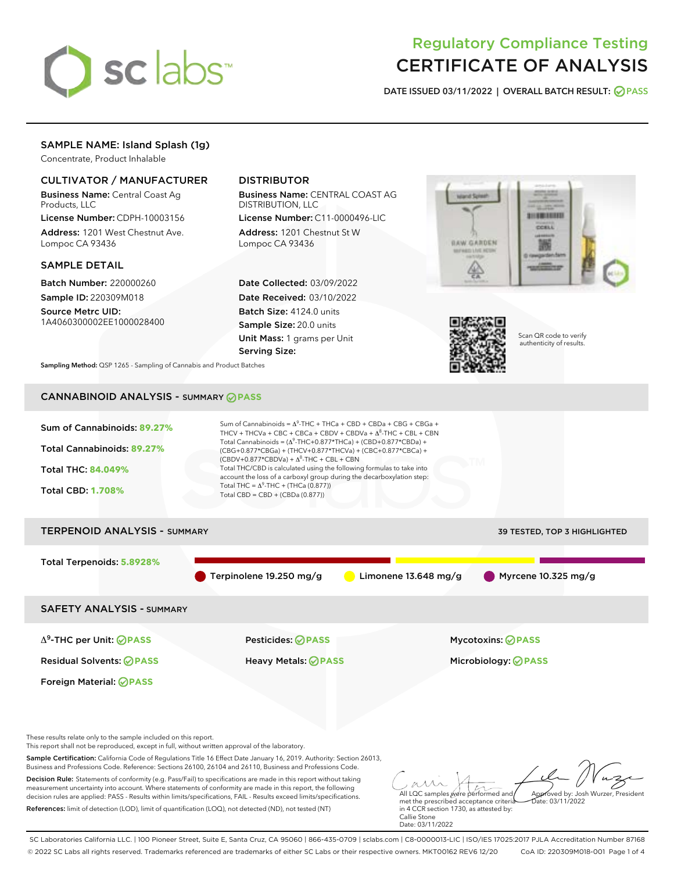

# Regulatory Compliance Testing CERTIFICATE OF ANALYSIS

DATE ISSUED 03/11/2022 | OVERALL BATCH RESULT: @ PASS

## SAMPLE NAME: Island Splash (1g)

Concentrate, Product Inhalable

## CULTIVATOR / MANUFACTURER

Business Name: Central Coast Ag Products, LLC

License Number: CDPH-10003156 Address: 1201 West Chestnut Ave. Lompoc CA 93436

#### SAMPLE DETAIL

Batch Number: 220000260 Sample ID: 220309M018

Source Metrc UID: 1A4060300002EE1000028400

## DISTRIBUTOR

Business Name: CENTRAL COAST AG DISTRIBUTION, LLC

License Number: C11-0000496-LIC Address: 1201 Chestnut St W Lompoc CA 93436

Date Collected: 03/09/2022 Date Received: 03/10/2022 Batch Size: 4124.0 units Sample Size: 20.0 units Unit Mass: 1 grams per Unit Serving Size:





Scan QR code to verify authenticity of results.

Sampling Method: QSP 1265 - Sampling of Cannabis and Product Batches

## CANNABINOID ANALYSIS - SUMMARY **PASS**



SC Laboratories California LLC. | 100 Pioneer Street, Suite E, Santa Cruz, CA 95060 | 866-435-0709 | sclabs.com | C8-0000013-LIC | ISO/IES 17025:2017 PJLA Accreditation Number 87168 © 2022 SC Labs all rights reserved. Trademarks referenced are trademarks of either SC Labs or their respective owners. MKT00162 REV6 12/20 CoA ID: 220309M018-001 Page 1 of 4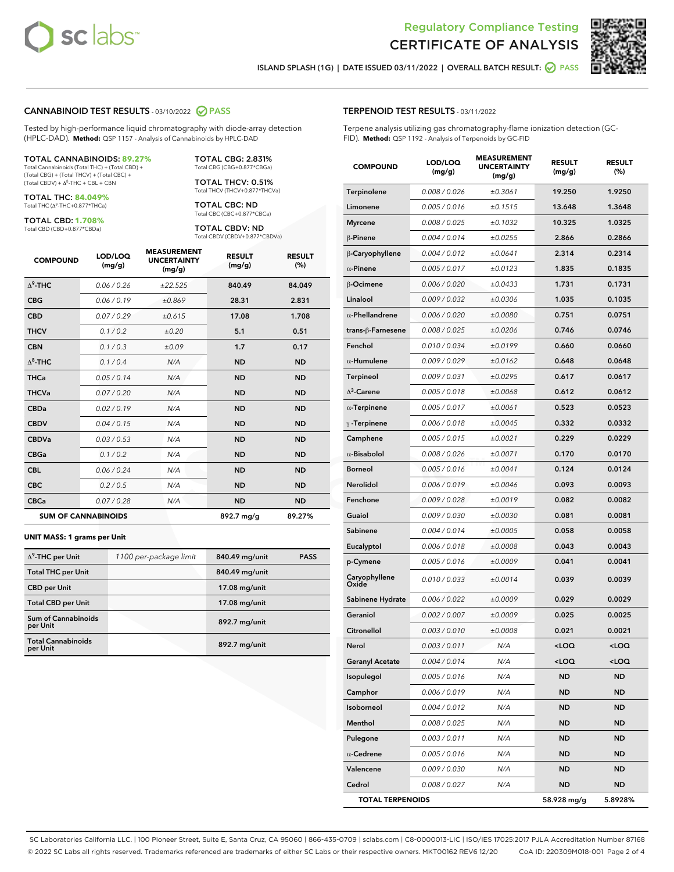



ISLAND SPLASH (1G) | DATE ISSUED 03/11/2022 | OVERALL BATCH RESULT: **○** PASS

#### CANNABINOID TEST RESULTS - 03/10/2022 2 PASS

Tested by high-performance liquid chromatography with diode-array detection (HPLC-DAD). **Method:** QSP 1157 - Analysis of Cannabinoids by HPLC-DAD

#### TOTAL CANNABINOIDS: **89.27%**

Total Cannabinoids (Total THC) + (Total CBD) + (Total CBG) + (Total THCV) + (Total CBC) +  $(Total$  CBDV) +  $\Delta$ <sup>8</sup>-THC + CBL + CBN

TOTAL THC: **84.049%** Total THC (Δ<sup>9</sup> -THC+0.877\*THCa)

TOTAL CBD: **1.708%** Total CBD (CBD+0.877\*CBDa)

TOTAL CBG: 2.831% Total CBG (CBG+0.877\*CBGa)

TOTAL THCV: 0.51% Total THCV (THCV+0.877\*THCVa)

TOTAL CBC: ND Total CBC (CBC+0.877\*CBCa)

TOTAL CBDV: ND Total CBDV (CBDV+0.877\*CBDVa)

| <b>COMPOUND</b>  | LOD/LOQ<br>(mg/g)          | <b>MEASUREMENT</b><br><b>UNCERTAINTY</b><br>(mg/g) | <b>RESULT</b><br>(mg/g) | <b>RESULT</b><br>(%) |
|------------------|----------------------------|----------------------------------------------------|-------------------------|----------------------|
| $\Lambda^9$ -THC | 0.06 / 0.26                | ±22.525                                            | 840.49                  | 84.049               |
| <b>CBG</b>       | 0.06/0.19                  | ±0.869                                             | 28.31                   | 2.831                |
| <b>CBD</b>       | 0.07/0.29                  | ±0.615                                             | 17.08                   | 1.708                |
| <b>THCV</b>      | 0.1/0.2                    | ±0.20                                              | 5.1                     | 0.51                 |
| <b>CBN</b>       | 0.1/0.3                    | ±0.09                                              | 1.7                     | 0.17                 |
| $\Delta^8$ -THC  | 0.1 / 0.4                  | N/A                                                | <b>ND</b>               | <b>ND</b>            |
| <b>THCa</b>      | 0.05/0.14                  | N/A                                                | <b>ND</b>               | <b>ND</b>            |
| <b>THCVa</b>     | 0.07/0.20                  | N/A                                                | <b>ND</b>               | <b>ND</b>            |
| <b>CBDa</b>      | 0.02/0.19                  | N/A                                                | <b>ND</b>               | <b>ND</b>            |
| <b>CBDV</b>      | 0.04 / 0.15                | N/A                                                | <b>ND</b>               | <b>ND</b>            |
| <b>CBDVa</b>     | 0.03/0.53                  | N/A                                                | <b>ND</b>               | <b>ND</b>            |
| <b>CBGa</b>      | 0.1/0.2                    | N/A                                                | <b>ND</b>               | <b>ND</b>            |
| <b>CBL</b>       | 0.06 / 0.24                | N/A                                                | <b>ND</b>               | <b>ND</b>            |
| <b>CBC</b>       | 0.2 / 0.5                  | N/A                                                | <b>ND</b>               | <b>ND</b>            |
| <b>CBCa</b>      | 0.07/0.28                  | N/A                                                | <b>ND</b>               | <b>ND</b>            |
|                  | <b>SUM OF CANNABINOIDS</b> |                                                    | 892.7 mg/g              | 89.27%               |

#### **UNIT MASS: 1 grams per Unit**

| $\Delta^9$ -THC per Unit               | 1100 per-package limit | 840.49 mg/unit | <b>PASS</b> |
|----------------------------------------|------------------------|----------------|-------------|
| <b>Total THC per Unit</b>              |                        | 840.49 mg/unit |             |
| <b>CBD per Unit</b>                    |                        | 17.08 mg/unit  |             |
| <b>Total CBD per Unit</b>              |                        | 17.08 mg/unit  |             |
| <b>Sum of Cannabinoids</b><br>per Unit |                        | 892.7 mg/unit  |             |
| <b>Total Cannabinoids</b><br>per Unit  |                        | 892.7 mg/unit  |             |

#### TERPENOID TEST RESULTS - 03/11/2022

Terpene analysis utilizing gas chromatography-flame ionization detection (GC-FID). **Method:** QSP 1192 - Analysis of Terpenoids by GC-FID

| <b>COMPOUND</b>         | LOD/LOQ<br>(mg/g) | <b>MEASUREMENT</b><br><b>UNCERTAINTY</b><br>(mg/g) | <b>RESULT</b><br>(mg/g)                          | <b>RESULT</b><br>(%) |
|-------------------------|-------------------|----------------------------------------------------|--------------------------------------------------|----------------------|
| Terpinolene             | 0.008 / 0.026     | ±0.3061                                            | 19.250                                           | 1.9250               |
| Limonene                | 0.005 / 0.016     | ±0.1515                                            | 13.648                                           | 1.3648               |
| <b>Myrcene</b>          | 0.008 / 0.025     | ±0.1032                                            | 10.325                                           | 1.0325               |
| $\beta$ -Pinene         | 0.004 / 0.014     | ±0.0255                                            | 2.866                                            | 0.2866               |
| β-Caryophyllene         | 0.004 / 0.012     | ±0.0641                                            | 2.314                                            | 0.2314               |
| $\alpha$ -Pinene        | 0.005 / 0.017     | ±0.0123                                            | 1.835                                            | 0.1835               |
| <b>B-Ocimene</b>        | 0.006 / 0.020     | ±0.0433                                            | 1.731                                            | 0.1731               |
| Linalool                | 0.009 / 0.032     | ±0.0306                                            | 1.035                                            | 0.1035               |
| $\alpha$ -Phellandrene  | 0.006 / 0.020     | ±0.0080                                            | 0.751                                            | 0.0751               |
| trans-ß-Farnesene       | 0.008 / 0.025     | ±0.0206                                            | 0.746                                            | 0.0746               |
| Fenchol                 | 0.010 / 0.034     | ±0.0199                                            | 0.660                                            | 0.0660               |
| $\alpha$ -Humulene      | 0.009/0.029       | ±0.0162                                            | 0.648                                            | 0.0648               |
| <b>Terpineol</b>        | 0.009 / 0.031     | ±0.0295                                            | 0.617                                            | 0.0617               |
| $\Delta^3$ -Carene      | 0.005 / 0.018     | ±0.0068                                            | 0.612                                            | 0.0612               |
| $\alpha$ -Terpinene     | 0.005 / 0.017     | ±0.0061                                            | 0.523                                            | 0.0523               |
| $\gamma$ -Terpinene     | 0.006 / 0.018     | ±0.0045                                            | 0.332                                            | 0.0332               |
| Camphene                | 0.005 / 0.015     | ±0.0021                                            | 0.229                                            | 0.0229               |
| $\alpha$ -Bisabolol     | 0.008 / 0.026     | ±0.0071                                            | 0.170                                            | 0.0170               |
| <b>Borneol</b>          | 0.005 / 0.016     | ±0.0041                                            | 0.124                                            | 0.0124               |
| Nerolidol               | 0.006 / 0.019     | ±0.0046                                            | 0.093                                            | 0.0093               |
| Fenchone                | 0.009 / 0.028     | ±0.0019                                            | 0.082                                            | 0.0082               |
| Guaiol                  | 0.009 / 0.030     | ±0.0030                                            | 0.081                                            | 0.0081               |
| Sabinene                | 0.004 / 0.014     | ±0.0005                                            | 0.058                                            | 0.0058               |
| Eucalyptol              | 0.006 / 0.018     | ±0.0008                                            | 0.043                                            | 0.0043               |
| p-Cymene                | 0.005 / 0.016     | ±0.0009                                            | 0.041                                            | 0.0041               |
| Caryophyllene<br>Oxide  | 0.010 / 0.033     | ±0.0014                                            | 0.039                                            | 0.0039               |
| Sabinene Hydrate        | 0.006 / 0.022     | ±0.0009                                            | 0.029                                            | 0.0029               |
| Geraniol                | 0.002 / 0.007     | ±0.0009                                            | 0.025                                            | 0.0025               |
| <b>Citronellol</b>      | 0.003 / 0.010     | ±0.0008                                            | 0.021                                            | 0.0021               |
| Nerol                   | 0.003 / 0.011     | N/A                                                | $<$ LOO                                          | <loq< th=""></loq<>  |
| <b>Geranyl Acetate</b>  | 0.004 / 0.014     | N/A                                                | <loq< th=""><th><math>&lt;</math>LOQ</th></loq<> | $<$ LOQ              |
| Isopulegol              | 0.005 / 0.016     | N/A                                                | <b>ND</b>                                        | <b>ND</b>            |
| Camphor                 | 0.006 / 0.019     | N/A                                                | ND                                               | ND                   |
| Isoborneol              | 0.004 / 0.012     | N/A                                                | ND                                               | ND                   |
| Menthol                 | 0.008 / 0.025     | N/A                                                | ND                                               | ND                   |
| Pulegone                | 0.003 / 0.011     | N/A                                                | ND                                               | ND                   |
| $\alpha$ -Cedrene       | 0.005 / 0.016     | N/A                                                | ND                                               | ND                   |
| Valencene               | 0.009 / 0.030     | N/A                                                | ND                                               | ND                   |
| Cedrol                  | 0.008 / 0.027     | N/A                                                | ND                                               | ND                   |
| <b>TOTAL TERPENOIDS</b> |                   |                                                    | 58.928 mg/g                                      | 5.8928%              |

SC Laboratories California LLC. | 100 Pioneer Street, Suite E, Santa Cruz, CA 95060 | 866-435-0709 | sclabs.com | C8-0000013-LIC | ISO/IES 17025:2017 PJLA Accreditation Number 87168 © 2022 SC Labs all rights reserved. Trademarks referenced are trademarks of either SC Labs or their respective owners. MKT00162 REV6 12/20 CoA ID: 220309M018-001 Page 2 of 4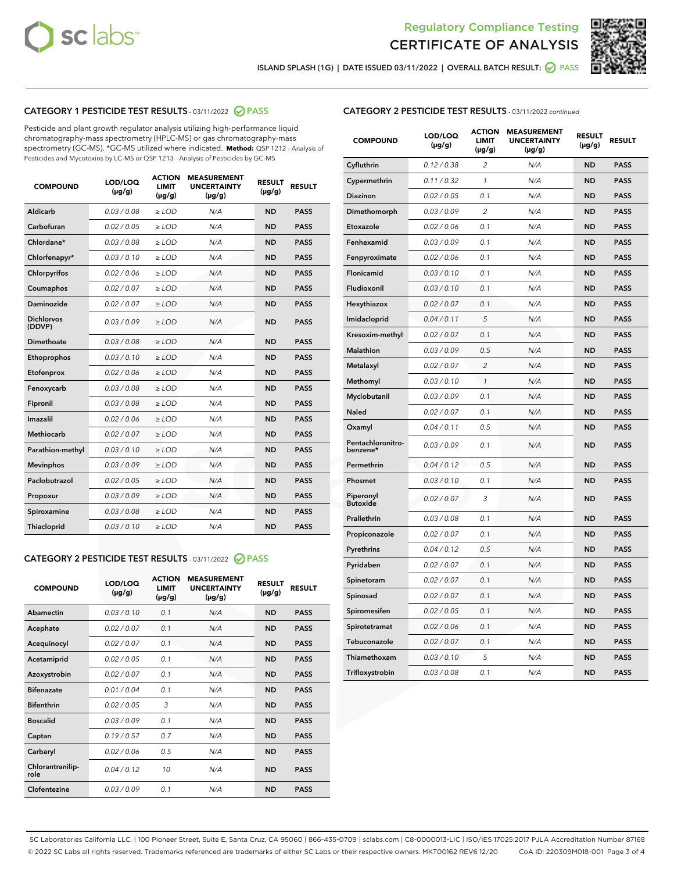



ISLAND SPLASH (1G) | DATE ISSUED 03/11/2022 | OVERALL BATCH RESULT: ● PASS

## CATEGORY 1 PESTICIDE TEST RESULTS - 03/11/2022 2 PASS

Pesticide and plant growth regulator analysis utilizing high-performance liquid chromatography-mass spectrometry (HPLC-MS) or gas chromatography-mass spectrometry (GC-MS). \*GC-MS utilized where indicated. **Method:** QSP 1212 - Analysis of Pesticides and Mycotoxins by LC-MS or QSP 1213 - Analysis of Pesticides by GC-MS

| <b>COMPOUND</b>             | LOD/LOQ<br>$(\mu g/g)$ | <b>ACTION</b><br><b>LIMIT</b><br>$(\mu g/g)$ | <b>MEASUREMENT</b><br><b>UNCERTAINTY</b><br>$(\mu g/g)$ | <b>RESULT</b><br>$(\mu g/g)$ | <b>RESULT</b> |  |
|-----------------------------|------------------------|----------------------------------------------|---------------------------------------------------------|------------------------------|---------------|--|
| <b>Aldicarb</b>             | 0.03 / 0.08            | $\ge$ LOD                                    | N/A                                                     | <b>ND</b>                    | <b>PASS</b>   |  |
| Carbofuran                  | 0.02 / 0.05            | $\ge$ LOD                                    | N/A                                                     | <b>ND</b>                    | <b>PASS</b>   |  |
| Chlordane*                  | 0.03/0.08              | $>$ LOD                                      | N/A                                                     | <b>ND</b>                    | <b>PASS</b>   |  |
| Chlorfenapyr*               | 0.03/0.10              | $>$ LOD                                      | N/A                                                     | <b>ND</b>                    | <b>PASS</b>   |  |
| Chlorpyrifos                | 0.02 / 0.06            | $>$ LOD                                      | N/A                                                     | <b>ND</b>                    | <b>PASS</b>   |  |
| Coumaphos                   | 0.02 / 0.07            | $\ge$ LOD                                    | N/A                                                     | <b>ND</b>                    | <b>PASS</b>   |  |
| <b>Daminozide</b>           | 0.02 / 0.07            | $\ge$ LOD                                    | N/A                                                     | <b>ND</b>                    | <b>PASS</b>   |  |
| <b>Dichlorvos</b><br>(DDVP) | 0.03/0.09              | $\ge$ LOD                                    | N/A                                                     | <b>ND</b>                    | <b>PASS</b>   |  |
| Dimethoate                  | 0.03 / 0.08            | $>$ LOD                                      | N/A                                                     | <b>ND</b>                    | <b>PASS</b>   |  |
| Ethoprophos                 | 0.03/0.10              | $\ge$ LOD                                    | N/A                                                     | <b>ND</b>                    | <b>PASS</b>   |  |
| Etofenprox                  | 0.02 / 0.06            | $>$ LOD                                      | N/A                                                     | <b>ND</b>                    | <b>PASS</b>   |  |
| Fenoxycarb                  | 0.03 / 0.08            | $>$ LOD                                      | N/A                                                     | <b>ND</b>                    | <b>PASS</b>   |  |
| Fipronil                    | 0.03 / 0.08            | $\ge$ LOD                                    | N/A                                                     | <b>ND</b>                    | <b>PASS</b>   |  |
| Imazalil                    | 0.02 / 0.06            | $\ge$ LOD                                    | N/A                                                     | <b>ND</b>                    | <b>PASS</b>   |  |
| <b>Methiocarb</b>           | 0.02 / 0.07            | $\ge$ LOD                                    | N/A                                                     | <b>ND</b>                    | <b>PASS</b>   |  |
| Parathion-methyl            | 0.03/0.10              | $\geq$ LOD                                   | N/A                                                     | <b>ND</b>                    | <b>PASS</b>   |  |
| <b>Mevinphos</b>            | 0.03/0.09              | $\ge$ LOD                                    | N/A                                                     | <b>ND</b>                    | <b>PASS</b>   |  |
| Paclobutrazol               | 0.02 / 0.05            | $\ge$ LOD                                    | N/A                                                     | <b>ND</b>                    | <b>PASS</b>   |  |
| Propoxur                    | 0.03/0.09              | $\ge$ LOD                                    | N/A                                                     | <b>ND</b>                    | <b>PASS</b>   |  |
| Spiroxamine                 | 0.03 / 0.08            | $\ge$ LOD                                    | N/A                                                     | <b>ND</b>                    | <b>PASS</b>   |  |
| Thiacloprid                 | 0.03/0.10              | $>$ LOD                                      | N/A                                                     | <b>ND</b>                    | <b>PASS</b>   |  |

## CATEGORY 2 PESTICIDE TEST RESULTS - 03/11/2022 @ PASS

| <b>COMPOUND</b>          | LOD/LOQ<br>$(\mu g/g)$ | <b>ACTION</b><br><b>LIMIT</b><br>$(\mu g/g)$ | <b>MEASUREMENT</b><br><b>UNCERTAINTY</b><br>$(\mu g/g)$ | <b>RESULT</b><br>$(\mu g/g)$ | <b>RESULT</b> |
|--------------------------|------------------------|----------------------------------------------|---------------------------------------------------------|------------------------------|---------------|
| Abamectin                | 0.03/0.10              | 0.1                                          | N/A                                                     | <b>ND</b>                    | <b>PASS</b>   |
| Acephate                 | 0.02/0.07              | 0.1                                          | N/A                                                     | <b>ND</b>                    | <b>PASS</b>   |
| Acequinocyl              | 0.02/0.07              | 0.1                                          | N/A                                                     | <b>ND</b>                    | <b>PASS</b>   |
| Acetamiprid              | 0.02/0.05              | 0.1                                          | N/A                                                     | <b>ND</b>                    | <b>PASS</b>   |
| Azoxystrobin             | 0.02 / 0.07            | 0.1                                          | N/A                                                     | <b>ND</b>                    | <b>PASS</b>   |
| <b>Bifenazate</b>        | 0.01/0.04              | 0.1                                          | N/A                                                     | <b>ND</b>                    | <b>PASS</b>   |
| <b>Bifenthrin</b>        | 0.02 / 0.05            | 3                                            | N/A                                                     | <b>ND</b>                    | <b>PASS</b>   |
| <b>Boscalid</b>          | 0.03/0.09              | 0.1                                          | N/A                                                     | <b>ND</b>                    | <b>PASS</b>   |
| Captan                   | 0.19/0.57              | 0.7                                          | N/A                                                     | <b>ND</b>                    | <b>PASS</b>   |
| Carbaryl                 | 0.02/0.06              | 0.5                                          | N/A                                                     | <b>ND</b>                    | <b>PASS</b>   |
| Chlorantranilip-<br>role | 0.04/0.12              | 10                                           | N/A                                                     | <b>ND</b>                    | <b>PASS</b>   |
| Clofentezine             | 0.03/0.09              | 0.1                                          | N/A                                                     | <b>ND</b>                    | <b>PASS</b>   |

### CATEGORY 2 PESTICIDE TEST RESULTS - 03/11/2022 continued

| <b>COMPOUND</b>               | LOD/LOQ<br>(µg/g) | <b>ACTION</b><br><b>LIMIT</b><br>$(\mu g/g)$ | <b>MEASUREMENT</b><br><b>UNCERTAINTY</b><br>$(\mu g/g)$ | <b>RESULT</b><br>(µg/g) | <b>RESULT</b> |
|-------------------------------|-------------------|----------------------------------------------|---------------------------------------------------------|-------------------------|---------------|
| Cyfluthrin                    | 0.12 / 0.38       | $\overline{c}$                               | N/A                                                     | <b>ND</b>               | <b>PASS</b>   |
| Cypermethrin                  | 0.11 / 0.32       | 1                                            | N/A                                                     | <b>ND</b>               | <b>PASS</b>   |
| <b>Diazinon</b>               | 0.02 / 0.05       | 0.1                                          | N/A                                                     | <b>ND</b>               | <b>PASS</b>   |
| Dimethomorph                  | 0.03 / 0.09       | $\overline{c}$                               | N/A                                                     | <b>ND</b>               | <b>PASS</b>   |
| Etoxazole                     | 0.02 / 0.06       | 0.1                                          | N/A                                                     | <b>ND</b>               | <b>PASS</b>   |
| Fenhexamid                    | 0.03 / 0.09       | 0.1                                          | N/A                                                     | <b>ND</b>               | <b>PASS</b>   |
| Fenpyroximate                 | 0.02 / 0.06       | 0.1                                          | N/A                                                     | <b>ND</b>               | <b>PASS</b>   |
| Flonicamid                    | 0.03 / 0.10       | 0.1                                          | N/A                                                     | <b>ND</b>               | <b>PASS</b>   |
| Fludioxonil                   | 0.03 / 0.10       | 0.1                                          | N/A                                                     | <b>ND</b>               | <b>PASS</b>   |
| Hexythiazox                   | 0.02 / 0.07       | 0.1                                          | N/A                                                     | <b>ND</b>               | <b>PASS</b>   |
| Imidacloprid                  | 0.04 / 0.11       | 5                                            | N/A                                                     | <b>ND</b>               | <b>PASS</b>   |
| Kresoxim-methyl               | 0.02 / 0.07       | 0.1                                          | N/A                                                     | <b>ND</b>               | <b>PASS</b>   |
| Malathion                     | 0.03 / 0.09       | 0.5                                          | N/A                                                     | <b>ND</b>               | <b>PASS</b>   |
| Metalaxyl                     | 0.02 / 0.07       | $\overline{c}$                               | N/A                                                     | <b>ND</b>               | <b>PASS</b>   |
| Methomyl                      | 0.03 / 0.10       | 1                                            | N/A                                                     | <b>ND</b>               | <b>PASS</b>   |
| Myclobutanil                  | 0.03 / 0.09       | 0.1                                          | N/A                                                     | <b>ND</b>               | <b>PASS</b>   |
| Naled                         | 0.02 / 0.07       | 0.1                                          | N/A                                                     | <b>ND</b>               | <b>PASS</b>   |
| Oxamyl                        | 0.04 / 0.11       | 0.5                                          | N/A                                                     | <b>ND</b>               | <b>PASS</b>   |
| Pentachloronitro-<br>benzene* | 0.03 / 0.09       | 0.1                                          | N/A                                                     | <b>ND</b>               | <b>PASS</b>   |
| Permethrin                    | 0.04 / 0.12       | 0.5                                          | N/A                                                     | <b>ND</b>               | <b>PASS</b>   |
| Phosmet                       | 0.03 / 0.10       | 0.1                                          | N/A                                                     | <b>ND</b>               | <b>PASS</b>   |
| Piperonyl<br><b>Butoxide</b>  | 0.02 / 0.07       | 3                                            | N/A                                                     | <b>ND</b>               | <b>PASS</b>   |
| Prallethrin                   | 0.03 / 0.08       | 0.1                                          | N/A                                                     | <b>ND</b>               | <b>PASS</b>   |
| Propiconazole                 | 0.02 / 0.07       | 0.1                                          | N/A                                                     | <b>ND</b>               | <b>PASS</b>   |
| Pyrethrins                    | 0.04 / 0.12       | 0.5                                          | N/A                                                     | <b>ND</b>               | <b>PASS</b>   |
| Pyridaben                     | 0.02 / 0.07       | 0.1                                          | N/A                                                     | <b>ND</b>               | <b>PASS</b>   |
| Spinetoram                    | 0.02 / 0.07       | 0.1                                          | N/A                                                     | <b>ND</b>               | <b>PASS</b>   |
| Spinosad                      | 0.02 / 0.07       | 0.1                                          | N/A                                                     | <b>ND</b>               | <b>PASS</b>   |
| Spiromesifen                  | 0.02 / 0.05       | 0.1                                          | N/A                                                     | <b>ND</b>               | <b>PASS</b>   |
| Spirotetramat                 | 0.02 / 0.06       | 0.1                                          | N/A                                                     | <b>ND</b>               | <b>PASS</b>   |
| Tebuconazole                  | 0.02 / 0.07       | 0.1                                          | N/A                                                     | <b>ND</b>               | <b>PASS</b>   |
| Thiamethoxam                  | 0.03 / 0.10       | 5                                            | N/A                                                     | <b>ND</b>               | <b>PASS</b>   |
| Trifloxystrobin               | 0.03 / 0.08       | 0.1                                          | N/A                                                     | <b>ND</b>               | <b>PASS</b>   |

SC Laboratories California LLC. | 100 Pioneer Street, Suite E, Santa Cruz, CA 95060 | 866-435-0709 | sclabs.com | C8-0000013-LIC | ISO/IES 17025:2017 PJLA Accreditation Number 87168 © 2022 SC Labs all rights reserved. Trademarks referenced are trademarks of either SC Labs or their respective owners. MKT00162 REV6 12/20 CoA ID: 220309M018-001 Page 3 of 4